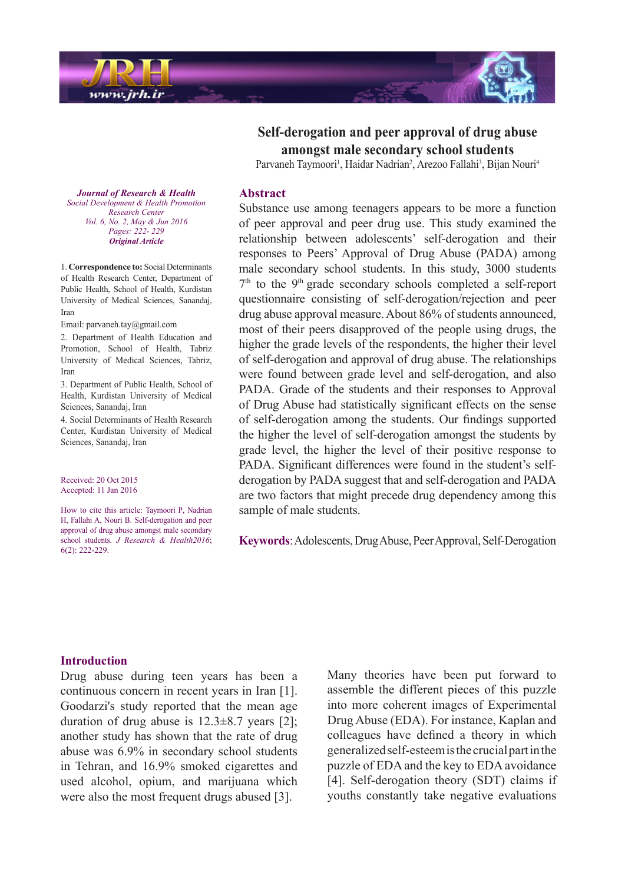

*Journal of Research & Health Promotion Health & Development Social Center Research Vol. 6, No. 2, May & Jun 2016* Pages: 222- 229 *Article Original*

1. Correspondence to: Social Determinants of Health Research Center, Department of Public Health, School of Health, Kurdistan University of Medical Sciences, Sanandaj, Iran

Email: parvaneh.tay@gmail.com

2. Department of Health Education and Promotion, School of Health, Tabriz University of Medical Sciences, Tabriz, Iran

3. Department of Public Health, School of Health, Kurdistan University of Medical Sciences, Sanandaj, Iran

4. Social Determinants of Health Research Center, Kurdistan University of Medical Sciences, Sanandaj, Iran

Received: 20 Oct 2015 Accepted: 11 Jan 2016

How to cite this article: Taymoori P. Nadrian H, Fallahi A, Nouri B. Self-derogation and peer approval of drug abuse amongst male secondary school students. *J Research & Health2016*;  $6(2)$ : 222-229.

**Self-derogation and peer approval of drug abuse** amongst male secondary school students

Parvaneh Taymoori<sup>1</sup>, Haidar Nadrian<sup>2</sup>, Arezoo Fallahi<sup>3</sup>, Bijan Nouri<sup>4</sup>

#### **Abstract**

Substance use among teenagers appears to be more a function of peer approval and peer drug use. This study examined the relationship between adolescents' self-derogation and their responses to Peers' Approval of Drug Abuse (PADA) among male secondary school students. In this study, 3000 students  $7<sup>th</sup>$  to the 9<sup>th</sup> grade secondary schools completed a self-report questionnaire consisting of self-derogation/rejection and peer drug abuse approval measure. About 86% of students announced, most of their peers disapproved of the people using drugs, the higher the grade levels of the respondents, the higher their level of self-derogation and approval of drug abuse. The relationships were found between grade level and self-derogation, and also PADA. Grade of the students and their responses to Approval of Drug Abuse had statistically significant effects on the sense of self-derogation among the students. Our findings supported the higher the level of self-derogation amongst the students by grade level, the higher the level of their positive response to derogation by PADA suggest that and self-derogation and PADA PADA. Significant differences were found in the student's selfare two factors that might precede drug dependency among this sample of male students.

Keywords: Adolescents, Drug Abuse, Peer Approval, Self-Derogation

#### **Introduction**

Drug abuse during teen years has been a continuous concern in recent years in Iran  $[1]$ . Goodarzi's study reported that the mean age duration of drug abuse is  $12.3\pm8.7$  years [2]; another study has shown that the rate of drug abuse was  $6.9\%$  in secondary school students in Tehran, and 16.9% smoked cigarettes and used alcohol, opium, and marijuana which were also the most frequent drugs abused [3].

Many theories have been put forward to assemble the different pieces of this puzzle into more coherent images of Experimental Drug Abuse (EDA). For instance, Kaplan and colleagues have defined a theory in which generalized self-esteem is the crucial part in the puzzle of EDA and the key to EDA avoidance [4]. Self-derogation theory (SDT) claims if youths constantly take negative evaluations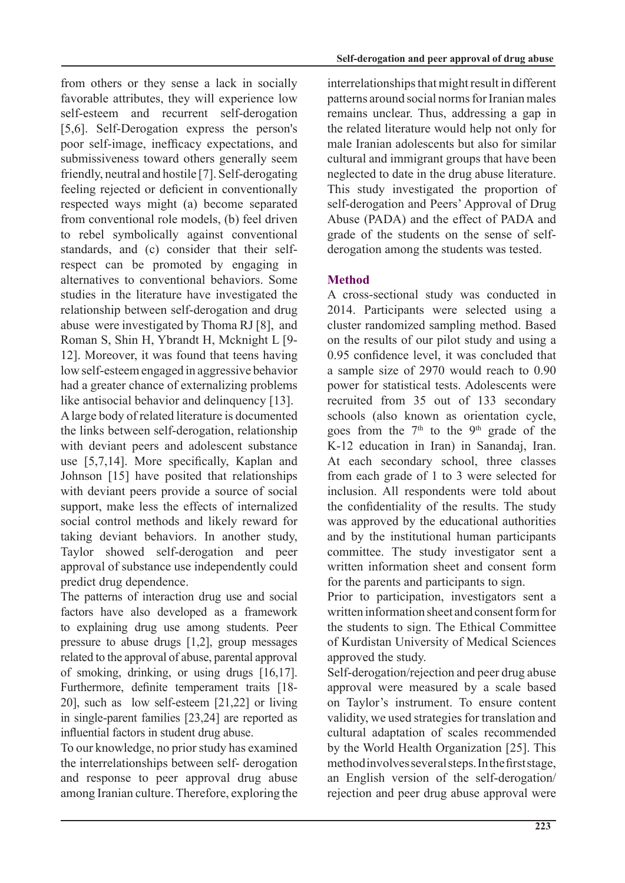from others or they sense a lack in socially favorable attributes, they will experience low self-esteem and recurrent self-derogation [5,6]. Self-Derogation express the person's poor self-image, inefficacy expectations, and submissiveness toward others generally seem friendly, neutral and hostile [7]. Self-derogating feeling rejected or deficient in conventionally respected ways might (a) become separated from conventional role models, (b) feel driven to rebel symbolically against conventional respect can be promoted by engaging in standards, and (c) consider that their selfalternatives to conventional behaviors. Some studies in the literature have investigated the relationship between self-derogation and drug abuse were investigated by Thoma RJ [8], and Roman S, Shin H, Ybrandt H, Mcknight L [9-12]. Moreover, it was found that teens having low self-esteem engaged in aggressive behavior had a greater chance of externalizing problems like antisocial behavior and delinquency  $[13]$ .

A large body of related literature is documented the links between self-derogation, relationship with deviant peers and adolescent substance use  $[5,7,14]$ . More specifically, Kaplan and Johnson [15] have posited that relationships with deviant peers provide a source of social support, make less the effects of internalized social control methods and likely reward for taking deviant behaviors. In another study, Taylor showed self-derogation and peer approval of substance use independently could predict drug dependence.

The patterns of interaction drug use and social factors have also developed as a framework to explaining drug use among students. Peer pressure to abuse drugs  $[1,2]$ , group messages related to the approval of abuse, parental approval of smoking, drinking, or using drugs  $[16,17]$ . Furthermore, definite temperament traits [18-20], such as low self-esteem  $[21,22]$  or living in single-parent families  $[23,24]$  are reported as influential factors in student drug abuse.

To our knowledge, no prior study has examined the interrelationships between self-derogation and response to peer approval drug abuse among Iranian culture. Therefore, exploring the interrelationships that might result in different patterns around social norms for Iranian males remains unclear. Thus, addressing a gap in the related literature would help not only for male Iranian adolescents but also for similar cultural and immigrant groups that have been neglected to date in the drug abuse literature. This study investigated the proportion of self-derogation and Peers' Approval of Drug Abuse (PADA) and the effect of PADA and derogation among the students was tested. grade of the students on the sense of self-

# **Method**

A cross-sectional study was conducted in 2014. Participants were selected using a cluster randomized sampling method. Based on the results of our pilot study and using a  $0.95$  confidence level, it was concluded that a sample size of  $2970$  would reach to  $0.90$ power for statistical tests. Adolescents were recruited from 35 out of 133 secondary schools (also known as orientation cycle, goes from the  $7<sup>th</sup>$  to the 9<sup>th</sup> grade of the K-12 education in Iran) in Sanandaj, Iran. At each secondary school, three classes from each grade of  $1$  to  $3$  were selected for inclusion. All respondents were told about the confidentiality of the results. The study was approved by the educational authorities and by the institutional human participants committee. The study investigator sent a written information sheet and consent form for the parents and participants to sign.

Prior to participation, investigators sent a written information sheet and consent form for the students to sign. The Ethical Committee of Kurdistan University of Medical Sciences approved the study.

Self-derogation/rejection and peer drug abuse approval were measured by a scale based on Taylor's instrument. To ensure content validity, we used strategies for translation and cultural adaptation of scales recommended by the World Health Organization [25]. This method involves several steps. In the first stage, an English version of the self-derogation/ rejection and peer drug abuse approval were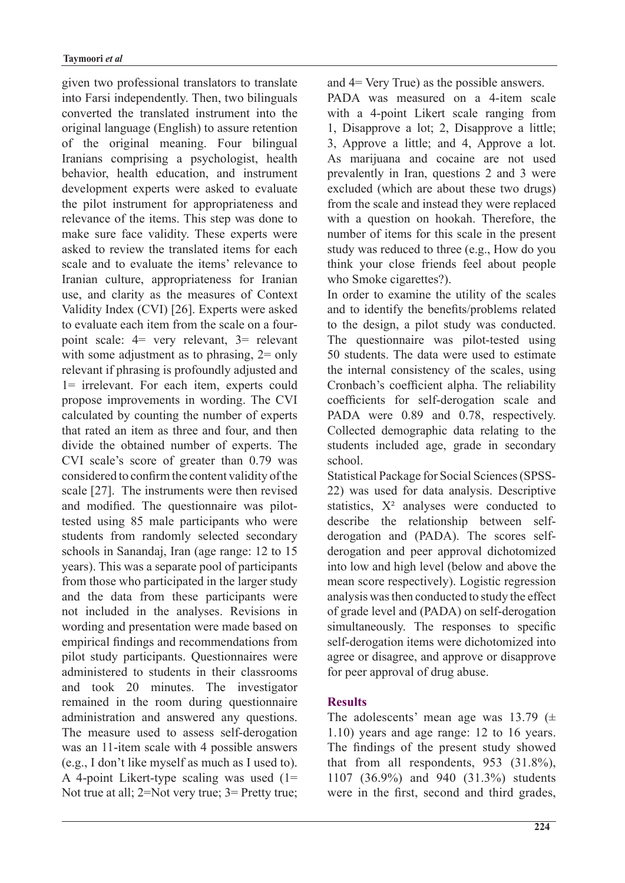given two professional translators to translate into Farsi independently. Then, two bilinguals converted the translated instrument into the original language (English) to assure retention of the original meaning. Four bilingual Iranians comprising a psychologist, health behavior, health education, and instrument development experts were asked to evaluate the pilot instrument for appropriateness and relevance of the items. This step was done to make sure face validity. These experts were asked to review the translated items for each scale and to evaluate the items' relevance to Iranian culture, appropriateness for Iranian use, and clarity as the measures of Context Validity Index (CVI) [26]. Experts were asked point scale:  $4 = \text{very relevant}$ ,  $3 = \text{relevant}$ to evaluate each item from the scale on a fourwith some adjustment as to phrasing,  $2 = \text{only}$ relevant if phrasing is profoundly adjusted and  $l =$  irrelevant. For each item, experts could propose improvements in wording. The CVI calculated by counting the number of experts that rated an item as three and four, and then divide the obtained number of experts. The CVI scale's score of greater than 0.79 was considered to confirm the content validity of the scale [27]. The instruments were then revised tested using 85 male participants who were and modified. The questionnaire was pilotstudents from randomly selected secondary schools in Sanandaj, Iran (age range: 12 to 15 years). This was a separate pool of participants from those who participated in the larger study and the data from these participants were not included in the analyses. Revisions in wording and presentation were made based on empirical findings and recommendations from pilot study participants. Questionnaires were administered to students in their classrooms and took 20 minutes. The investigator remained in the room during questionnaire administration and answered any questions. The measure used to assess self-derogation was an 11-item scale with 4 possible answers  $(e.g., I don't like myself as much as I used to).$ A 4-point Likert-type scaling was used  $(1 =$ Not true at all;  $2 = Not$  very true;  $3 = Pretty$  true; and  $4 = \text{Very True}$  as the possible answers.

PADA was measured on a 4-item scale with a 4-point Likert scale ranging from  $l$ , Disapprove a lot; 2, Disapprove a little; 3, Approve a little; and 4, Approve a lot. As marijuana and cocaine are not used prevalently in Iran, questions 2 and 3 were excluded (which are about these two drugs) from the scale and instead they were replaced with a question on hookah. Therefore, the number of items for this scale in the present study was reduced to three (e.g., How do you think your close friends feel about people who Smoke cigarettes?).

In order to examine the utility of the scales and to identify the benefits/problems related to the design, a pilot study was conducted. The questionnaire was pilot-tested using 50 students. The data were used to estimate the internal consistency of the scales, using Cronbach's coefficient alpha. The reliability coefficients for self-derogation scale and PADA were 0.89 and 0.78, respectively. Collected demographic data relating to the students included age, grade in secondary school.

Statistical Package for Social Sciences (SPSS-<br>22) was used for data analysis. Descriptive statistics,  $X^2$  analyses were conducted to derogation and peer approval dichotomized derogation and (PADA). The scores selfdescribe the relationship between selfinto low and high level (below and above the mean score respectively). Logistic regression analysis was then conducted to study the effect of grade level and (PADA) on self-derogation simultaneously. The responses to specific self-derogation items were dichotomized into agree or disagree, and approve or disapprove for peer approval of drug abuse.

## **Results**

The adolescents' mean age was 13.79 ( $\pm$  $1.10$ ) years and age range: 12 to 16 years. The findings of the present study showed that from all respondents,  $953$   $(31.8\%)$ , 1107 (36.9%) and 940 (31.3%) students were in the first, second and third grades,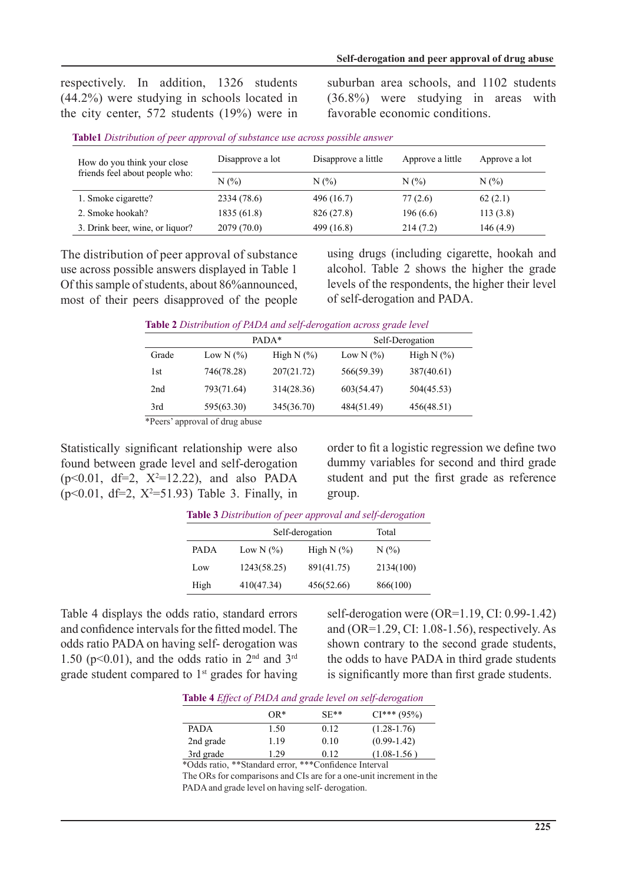respectively. In addition, 1326 students  $(44.2\%)$  were studying in schools located in the city center,  $572$  students  $(19%)$  were in suburban area schools, and 1102 students  $(36.8\%)$  were studying in areas with favorable economic conditions.

| How do you think your close<br>friends feel about people who: | Disapprove a lot | Disapprove a little | Approve a little | Approve a lot |
|---------------------------------------------------------------|------------------|---------------------|------------------|---------------|
|                                                               | N(%              | $N(\%)$             | $N(\%)$          | N(%)          |
| 1. Smoke cigarette?                                           | 2334 (78.6)      | 496 (16.7)          | 77(2.6)          | 62(2.1)       |
| 2. Smoke hookah?                                              | 1835(61.8)       | 826 (27.8)          | 196(6.6)         | 113(3.8)      |
| 3. Drink beer, wine, or liquor?                               | 2079 (70.0)      | 499 (16.8)          | 214(7.2)         | 146(4.9)      |

The distribution of peer approval of substance use across possible answers displayed in Table 1 Of this sample of students, about 86% announced, most of their peers disapproved of the people

using drugs (including cigarette, hookah and alcohol. Table 2 shows the higher the grade levels of the respondents, the higher their level of self-derogation and PADA.

**Table 2** Distribution of PADA and self-derogation across grade level

|       |                             | PADA*           |               | Self-Derogation |
|-------|-----------------------------|-----------------|---------------|-----------------|
| Grade | Low N $(\% )$               | High $N$ $(\%)$ | Low N $(\% )$ | High N $(\%)$   |
| 1st   | 746(78.28)                  | 207(21.72)      | 566(59.39)    | 387(40.61)      |
| 2nd   | 793(71.64)                  | 314(28.36)      | 603(54.47)    | 504(45.53)      |
| 3rd   | 595(63.30)                  | 345(36.70)      | 484(51.49)    | 456(48.51)      |
|       | $*D0$ on $R0$ of $d0$ opens |                 |               |                 |

\*Peers' approval of drug abuse

Statistically significant relationship were also found between grade level and self-derogation  $(p<0.01, df=2, X^2=12.22)$ , and also PADA  $(p<0.01, df=2, X^2=51.93)$  Table 3. Finally, in order to fit a logistic regression we define two dummy variables for second and third grade student and put the first grade as reference .group

| <b>Table 3</b> Distribution of peer approval and self-derogation |                 |               |           |
|------------------------------------------------------------------|-----------------|---------------|-----------|
|                                                                  | Self-derogation |               | Total     |
| <b>PADA</b>                                                      | Low N $(\% )$   | High N $(\%)$ | $N(\%)$   |
| Low                                                              | 1243(58.25)     | 891(41.75)    | 2134(100) |
| High                                                             | 410(47.34)      | 456(52.66)    | 866(100)  |

*derogation-self and approval peer of Distribution* **3 Table**

Table 4 displays the odds ratio, standard errors and confidence intervals for the fitted model. The odds ratio PADA on having self-derogation was 1.50 ( $p<0.01$ ), and the odds ratio in  $2<sup>nd</sup>$  and  $3<sup>rd</sup>$ grade student compared to  $1<sup>st</sup>$  grades for having self-derogation were  $(OR=1.19, CI: 0.99-1.42)$ and  $(OR=1.29, CI: 1.08-1.56)$ , respectively. As shown contrary to the second grade students, the odds to have PADA in third grade students is significantly more than first grade students.

|  |  | Table 4 Effect of PADA and grade level on self-derogation |
|--|--|-----------------------------------------------------------|
|--|--|-----------------------------------------------------------|

|           | $OR*$ | $SF**$ | $CI***$ (95%)   |
|-----------|-------|--------|-----------------|
| PADA      | 1.50  | 0.12   | $(1.28 - 1.76)$ |
| 2nd grade | 1.19  | 0.10   | $(0.99-1.42)$   |
| 3rd grade | 1.29  | 0.12   | $(1.08-1.56)$   |

\*Odds ratio, \*\*Standard error, \*\*\*Confidence Interval

The ORs for comparisons and CIs are for a one-unit increment in the PADA and grade level on having self-derogation.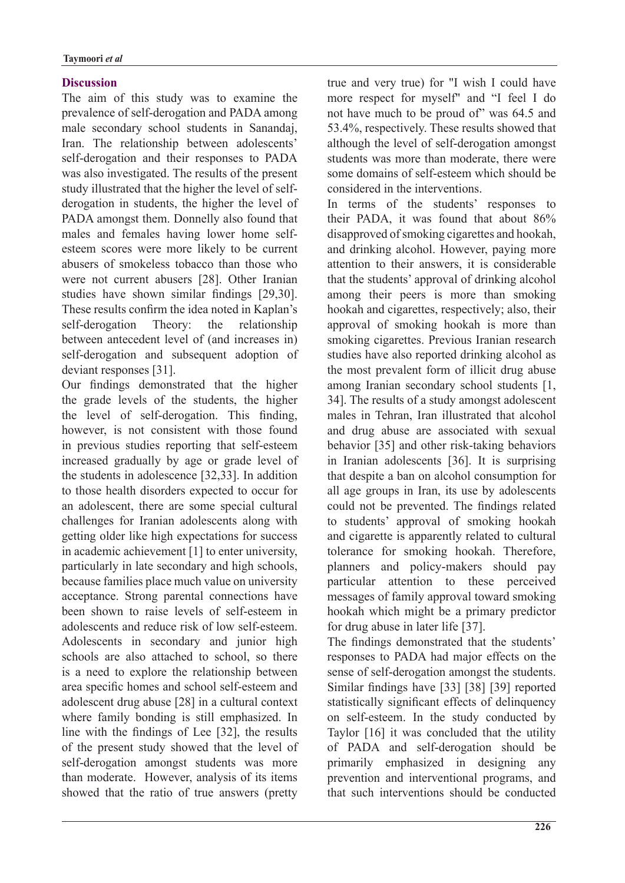### **Discussion**

The aim of this study was to examine the prevalence of self-derogation and PADA among male secondary school students in Sanandaj, Iran. The relationship between adolescents' self-derogation and their responses to PADA was also investigated. The results of the present derogation in students, the higher the level of study illustrated that the higher the level of self-PADA amongst them. Donnelly also found that esteem scores were more likely to be current males and females having lower home selfabusers of smokeless tobacco than those who were not current abusers [28]. Other Iranian studies have shown similar findings [29,30]. These results confirm the idea noted in Kaplan's self-derogation Theory: the relationship between antecedent level of (and increases in) self-derogation and subsequent adoption of deviant responses [31].

Our findings demonstrated that the higher the grade levels of the students, the higher the level of self-derogation. This finding, however, is not consistent with those found in previous studies reporting that self-esteem increased gradually by age or grade level of the students in adolescence  $[32,33]$ . In addition to those health disorders expected to occur for an adolescent, there are some special cultural challenges for Iranian adolescents along with getting older like high expectations for success in academic achievement  $[1]$  to enter university, particularly in late secondary and high schools, because families place much value on university acceptance. Strong parental connections have been shown to raise levels of self-esteem in adolescents and reduce risk of low self-esteem. Adolescents in secondary and junior high schools are also attached to school, so there is a need to explore the relationship between area specific homes and school self-esteem and adolescent drug abuse  $[28]$  in a cultural context where family bonding is still emphasized. In line with the findings of Lee  $[32]$ , the results of the present study showed that the level of self-derogation amongst students was more than moderate. However, analysis of its items showed that the ratio of true answers (pretty true and very true) for "I wish I could have more respect for myself" and "I feel I do not have much to be proud of" was 64.5 and  $53.4\%$ , respectively. These results showed that although the level of self-derogation amongst students was more than moderate, there were some domains of self-esteem which should be considered in the interventions

In terms of the students' responses to their PADA, it was found that about 86% disapproved of smoking cigarettes and hookah, and drinking alcohol. However, paying more attention to their answers, it is considerable that the students' approval of drinking alcohol among their peers is more than smoking hookah and cigarettes, respectively; also, their approval of smoking hookah is more than smoking cigarettes. Previous Iranian research studies have also reported drinking alcohol as the most prevalent form of illicit drug abuse among Iranian secondary school students [1, 34]. The results of a study amongst adolescent males in Tehran, Iran illustrated that alcohol and drug abuse are associated with sexual behavior [35] and other risk-taking behaviors in Iranian adolescents [36]. It is surprising that despite a ban on alcohol consumption for all age groups in Iran, its use by adolescents could not be prevented. The findings related to students' approval of smoking hookah and cigarette is apparently related to cultural tolerance for smoking hookah. Therefore, planners and policy-makers should pay particular attention to these perceived messages of family approval toward smoking hookah which might be a primary predictor for drug abuse in later life  $[37]$ .

The findings demonstrated that the students' responses to PADA had major effects on the sense of self-derogation amongst the students. Similar findings have [33] [38] [39] reported statistically significant effects of delinquency on self-esteem. In the study conducted by Taylor  $[16]$  it was concluded that the utility of PADA and self-derogation should be primarily emphasized in designing any prevention and interventional programs, and that such interventions should be conducted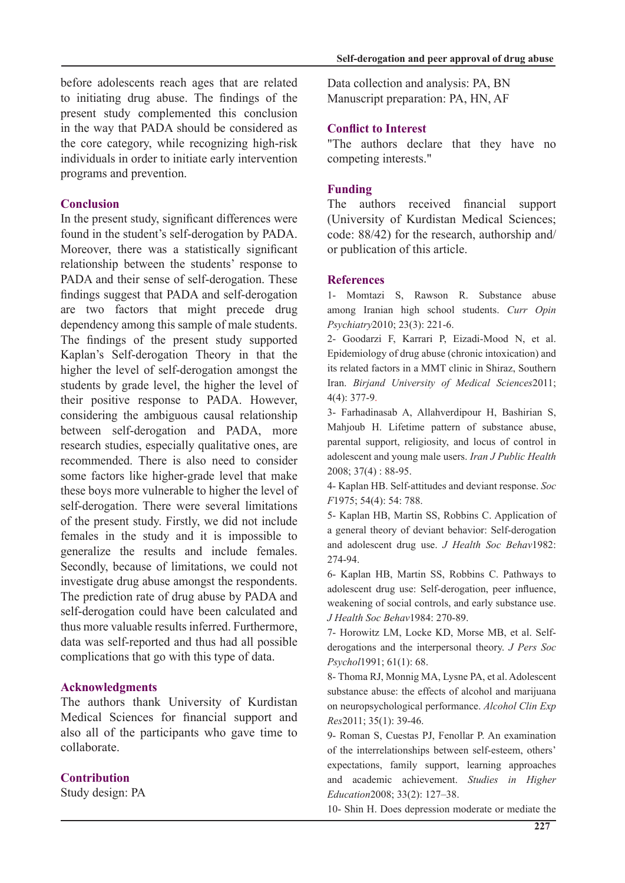before adolescents reach ages that are related to initiating drug abuse. The findings of the present study complemented this conclusion in the way that PADA should be considered as the core category, while recognizing high-risk individuals in order to initiate early intervention programs and prevention.

### **Conclusion**

In the present study, significant differences were found in the student's self-derogation by PADA. Moreover, there was a statistically significant relationship between the students' response to PADA and their sense of self-derogation. These findings suggest that PADA and self-derogation are two factors that might precede drug dependency among this sample of male students. The findings of the present study supported Kaplan's Self-derogation Theory in that the higher the level of self-derogation amongst the students by grade level, the higher the level of their positive response to PADA. However, considering the ambiguous causal relationship between self-derogation and PADA, more research studies, especially qualitative ones, are recommended. There is also need to consider some factors like higher-grade level that make these boys more vulnerable to higher the level of self-derogation. There were several limitations of the present study. Firstly, we did not include females in the study and it is impossible to generalize the results and include females. Secondly, because of limitations, we could not investigate drug abuse amongst the respondents. The prediction rate of drug abuse by PADA and self-derogation could have been calculated and thus more valuable results inferred. Furthermore, data was self-reported and thus had all possible complications that go with this type of data.

### **Acknowledgments**

The authors thank University of Kurdistan Medical Sciences for financial support and also all of the participants who gave time to .collaborate

### **Contribution**

Study design: PA

Data collection and analysis: PA, BN Manuscript preparation: PA, HN, AF

### **Conflict to Interest**

"The authors declare that they have no competing interests."

### **Funding**

The authors received financial support (University of Kurdistan Medical Sciences; code:  $88/42$ ) for the research, authorship and/ or publication of this article.

### **References**

1- Momtazi S, Rawson R. Substance abuse among Iranian high school students. Curr Opin Psychiatry2010; 23(3): 221-6.

2- Goodarzi F, Karrari P, Eizadi-Mood N, et al. Epidemiology of drug abuse (chronic intoxication) and its related factors in a MMT clinic in Shiraz, Southern Iran. Birjand University of Medical Sciences 2011;  $4(4)$   $377-9$ 

3- Farhadinasab A, Allahverdipour H, Bashirian S, Mahjoub H. Lifetime pattern of substance abuse, parental support, religiosity, and locus of control in adolescent and young male users. *Iran J Public Health*  $2008$ : 37(4): 88-95.

4- Kaplan HB. Self-attitudes and deviant response. Soc *F*1975; 54(4): 54: 788.

5- Kaplan HB, Martin SS, Robbins C. Application of a general theory of deviant behavior: Self-derogation and adolescent drug use. *J Health Soc Behav1982*: 274-94.

6- Kaplan HB, Martin SS, Robbins C. Pathways to adolescent drug use: Self-derogation, peer influence, weakening of social controls, and early substance use. 270-89. 1984:*Behav Soc Health J*

derogations and the interpersonal theory. *J Pers Soc* 7- Horowitz LM, Locke KD, Morse MB, et al. Self-Psychol1991; 61(1): 68.

8- Thoma RJ, Monnig MA, Lysne PA, et al. Adolescent substance abuse: the effects of alcohol and marijuana on neuropsychological performance. *Alcohol Clin Exp* Res2011; 35(1): 39-46.

9- Roman S, Cuestas PJ, Fenollar P. An examination of the interrelationships between self-esteem, others' expectations, family support, learning approaches and academic achievement. Studies in Higher Education2008; 33(2): 127-38.

10- Shin H. Does depression moderate or mediate the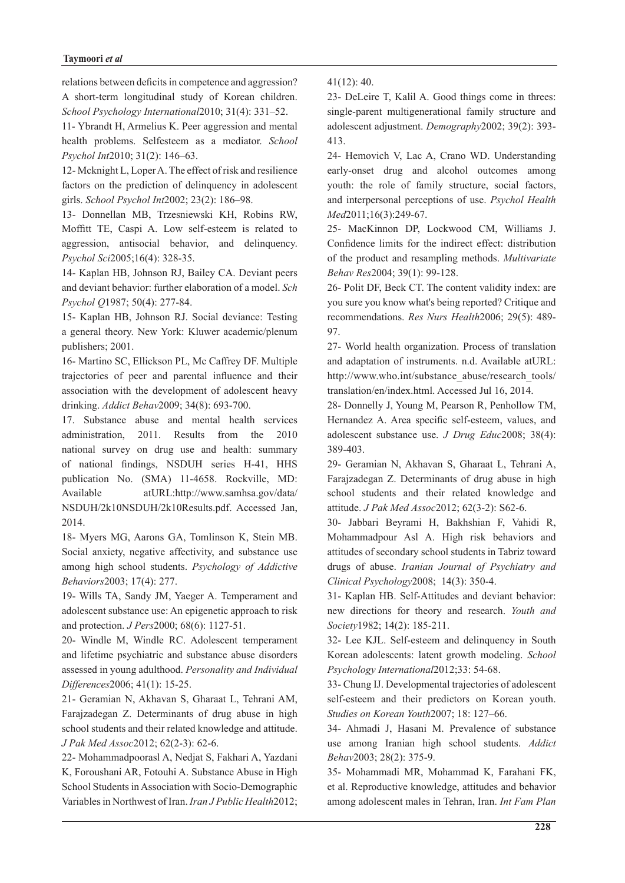relations between deficits in competence and aggression? A short-term longitudinal study of Korean children. School Psychology International 2010: 31(4): 331-52.

11- Ybrandt H, Armelius K. Peer aggression and mental *health* problems. Selfesteem as a mediator. *School* Psychol Int 2010; 31(2): 146-63.

12- Mcknight L, Loper A. The effect of risk and resilience factors on the prediction of delinquency in adolescent girls. School Psychol Int2002; 23(2): 186-98.

13- Donnellan MB, Trzesniewski KH, Robins RW, Moffitt TE, Caspi A. Low self-esteem is related to aggression, antisocial behavior, and delinquency. Psychol Sci2005;16(4): 328-35.

14- Kaplan HB, Johnson RJ, Bailey CA. Deviant peers and deviant behavior: further elaboration of a model. Sch Psychol Q1987; 50(4): 277-84.

15- Kaplan HB, Johnson RJ. Social deviance: Testing a general theory. New York: Kluwer academic/plenum publishers; 2001.

16- Martino SC, Ellickson PL, Mc Caffrey DF. Multiple trajectories of peer and parental influence and their association with the development of adolescent heavy drinking. *Addict Behav* 2009; 34(8): 693-700.

17. Substance abuse and mental health services administration,  $2011$ . Results from the  $2010$ national survey on drug use and health: summary of national findings, NSDUH series H-41, HHS publication No. (SMA) 11-4658. Rockville, MD: Available atURL:http://www.samhsa.gov/data/ NSDUH/2k10NSDUH/2k10Results.pdf. Accessed Jan, 2014.

18- Myers MG, Aarons GA, Tomlinson K, Stein MB. Social anxiety, negative affectivity, and substance use among high school students. Psychology of Addictive Behaviors<sup>2003</sup>; 17(4): 277.

19- Wills TA, Sandy JM, Yaeger A. Temperament and adolescent substance use: An epigenetic approach to risk and protection. *J Pers* 2000; 68(6): 1127-51.

20- Windle M, Windle RC. Adolescent temperament and lifetime psychiatric and substance abuse disorders assessed in young adulthood. Personality and Individual Differences2006; 41(1): 15-25.

21- Geramian N, Akhavan S, Gharaat L, Tehrani AM, Farajzadegan Z. Determinants of drug abuse in high school students and their related knowledge and attitude. J Pak Med Assoc 2012; 62(2-3): 62-6.

22- Mohammadpoorasl A, Nedjat S, Fakhari A, Yazdani K, Foroushani AR, Fotouhi A. Substance Abuse in High School Students in Association with Socio-Demographic Variables in Northwest of Iran. *Iran J Public Health* 2012;  $41(12): 40.$ 

23- DeLeire T, Kalil A. Good things come in threes: single-parent multigenerational family structure and adolescent adjustment. *Demography* 2002; 39(2): 393-413.

24- Hemovich V, Lac A, Crano WD. Understanding early-onset drug and alcohol outcomes among youth: the role of family structure, social factors, and interpersonal perceptions of use. Psychol Health Med<sub>2011</sub>;16(3):249-67.

25- MacKinnon DP, Lockwood CM, Williams J. Confidence limits for the indirect effect: distribution of the product and resampling methods. Multivariate Behav Res 2004; 39(1): 99-128.

26- Polit DF, Beck CT. The content validity index: are you sure you know what's being reported? Critique and recommendations. Res Nurs Health 2006; 29(5): 489-97.

27- World health organization. Process of translation and adaptation of instruments. n.d. Available at URL: http://www.who.int/substance\_abuse/research\_tools/ translation/en/index.html. Accessed Jul 16, 2014.

28- Donnelly J, Young M, Pearson R, Penhollow TM, Hernandez A. Area specific self-esteem, values, and adolescent substance use. *J Drug Educ* 2008; 38(4): 389-403.

29- Geramian N, Akhavan S, Gharaat L, Tehrani A, Farajzadegan Z. Determinants of drug abuse in high school students and their related knowledge and attitude. J Pak Med Assoc 2012; 62(3-2): S62-6.

30- Jabbari Beyrami H, Bakhshian F, Vahidi R, Mohammadpour Asl A. High risk behaviors and attitudes of secondary school students in Tabriz toward drugs of abuse. Iranian Journal of Psychiatry and Clinical Psychology 2008; 14(3): 350-4.

31- Kaplan HB. Self-Attitudes and deviant behavior: new directions for theory and research. Youth and Society<sup>1982</sup>; 14(2): 185-211.

32- Lee KJL. Self-esteem and delinquency in South Korean adolescents: latent growth modeling. School Psychology International 2012;33: 54-68.

33- Chung IJ. Developmental trajectories of adolescent self-esteem and their predictors on Korean youth. Studies on Korean Youth 2007; 18: 127-66.

34- Ahmadi J, Hasani M. Prevalence of substance use among Iranian high school students. Addict Behav2003; 28(2): 375-9.

35- Mohammadi MR, Mohammad K, Farahani FK, et al. Reproductive knowledge, attitudes and behavior among adolescent males in Tehran, Iran. Int Fam Plan